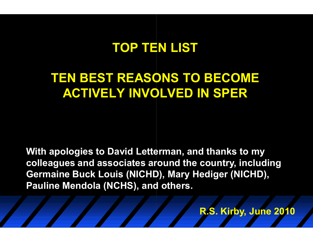#### **TOP TEN LIST**

#### **TEN BEST REASONS TO BECOME ACTIVELY INVOLVED IN SPER**

**With apologies to David Letterman, and thanks to my colleagues and associates around the country, including Germaine Buck Louis (NICHD), Mary Hediger (NICHD), Pauline Mendola (NCHS), and others.** 

**R.S. Kirby, June 2010**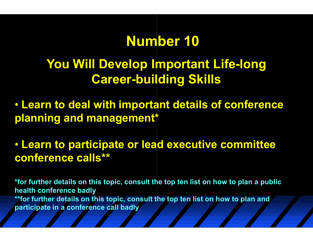### **You Will Develop Important Life Important Lifelong Career-building Skills**

• **Learn to deal with important details of conference planning and management\***

• **Learn to participate or lead executive committee conference calls\*\***

**\*for further details on this topic, consult the top ten list on how to plan a public health conference badly \*\*for further details on this topic, consult the top ten list on how to plan and participate in a conference call badly**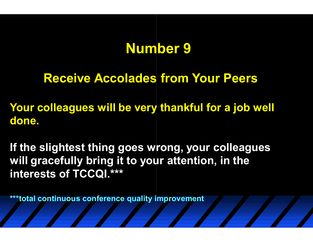#### **Receive Accolades from Your Peers**

**Your colleagues will be very thankful for a job well done.**

**If the slightest thing goes wrong, your colleagues will gracefully bring it to your attention, in the interests of TCCQI.\*\*\***

**\*\*\*total continuous conference quality improvement**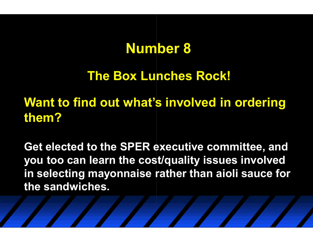#### **The Box Lunches Rock!**

# **Want to find out what's involved in ordering them?**

**Get elected to the SPER executive committee, and you too can learn the cost/quality issues involved in selecting mayonnaise rather than aioli sauce for the sandwiches.**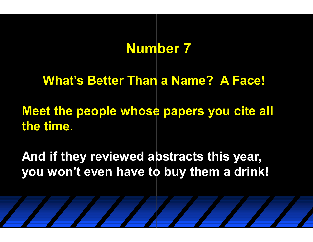#### **What's Better Than a Name? A Face!**

## **Meet the people whose papers you cite all the time.**

**And if they reviewed abstracts this year, you won't even have to buy them a drink!**

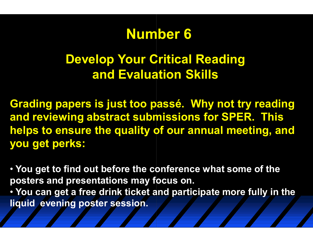## **Develop Your Critical Reading and Evaluation Skills**

**Grading papers is just too passé. Why not try reading and reviewing abstract submissions for SPER. This helps to ensure the quality of our annual meeting, and you get perks:**

• **You get to find out before the conference what some of the posters** and presentations may focus on. • **You can get a free drink ticket and participate more fully in the liquid evening poster session.**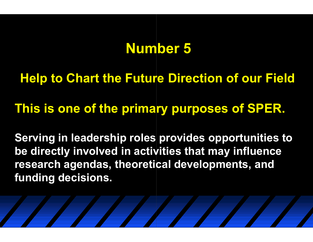**Help to Chart the Future Direction of our Field**

#### **This is one of the primary purposes of SPER.**

**Serving in leadership roles provides opportunities to be directly involved in activities that may influence research agendas, theoretical developments, and funding decisions.**

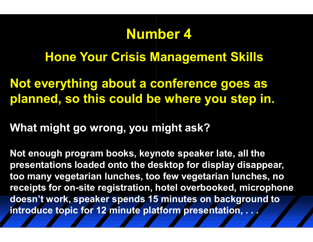#### **Hone Your Crisis Management Skills**

#### **Not everything about a conference goes as planned, so this could be where you step in.**

#### **What might go wrong, you might ask?**

**Not enough program books, keynote speaker late, all the presentations loaded onto the desktop for display disappear, too many vegetarian lunches, too few vegetarian lunches, no**  receipts for on-site registration, hotel overbooked, microphone **doesn't work, speaker spends 15 minutes on background to introduce topic for 12 minute platform presentation, . . .**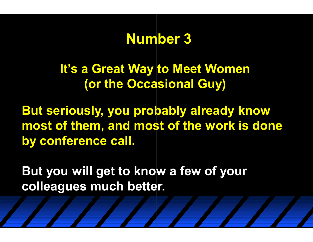**It's a Great Way to Meet Women (or the Occasional Guy)** 

**But seriously, you probably already know most of them, and most of the work is done by conference call.** 

**But you will get to know a few of your colleagues much better.**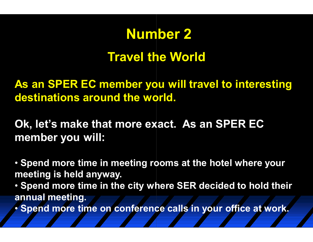#### **Travel the World**

#### **As an SPER EC member you will travel to interesting destinations around the world.**

#### **Ok, let's make that more exact. As an SPER EC member you will:**

• **Spend more time in meeting rooms at the hotel where your meeting is held anyway.**

• **Spend more time in the city where SER decided to hold their annual meeting.**

• **Spend more time on conference calls in your office at work.**